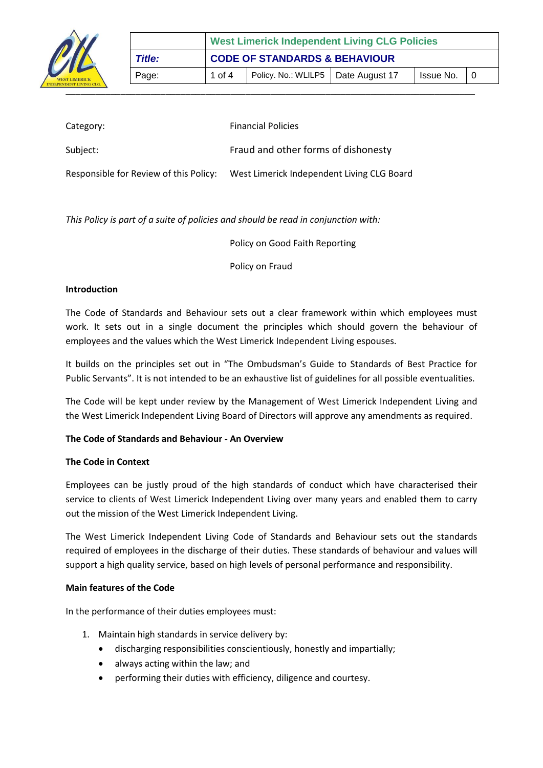

| <b>77</b>                                    |        | <b>West Limerick Independent Living CLG Policies</b> |                                      |  |           |  |  |
|----------------------------------------------|--------|------------------------------------------------------|--------------------------------------|--|-----------|--|--|
| 11L<br><b>T LIMERICK</b><br>DENT LIVING CLG. | Title: | <b>CODE OF STANDARDS &amp; BEHAVIOUR</b>             |                                      |  |           |  |  |
|                                              | Page:  | 1 of 4                                               | Policy. No.: WLILP5   Date August 17 |  | Issue No. |  |  |
|                                              |        |                                                      |                                      |  |           |  |  |

| Category:                              | <b>Financial Policies</b>                  |
|----------------------------------------|--------------------------------------------|
| Subject:                               | Fraud and other forms of dishonesty        |
| Responsible for Review of this Policy: | West Limerick Independent Living CLG Board |

*This Policy is part of a suite of policies and should be read in conjunction with:*

Policy on Good Faith Reporting

Policy on Fraud

## **Introduction**

The Code of Standards and Behaviour sets out a clear framework within which employees must work. It sets out in a single document the principles which should govern the behaviour of employees and the values which the West Limerick Independent Living espouses.

It builds on the principles set out in "The Ombudsman's Guide to Standards of Best Practice for Public Servants". It is not intended to be an exhaustive list of guidelines for all possible eventualities.

The Code will be kept under review by the Management of West Limerick Independent Living and the West Limerick Independent Living Board of Directors will approve any amendments as required.

# **The Code of Standards and Behaviour - An Overview**

## **The Code in Context**

Employees can be justly proud of the high standards of conduct which have characterised their service to clients of West Limerick Independent Living over many years and enabled them to carry out the mission of the West Limerick Independent Living.

The West Limerick Independent Living Code of Standards and Behaviour sets out the standards required of employees in the discharge of their duties. These standards of behaviour and values will support a high quality service, based on high levels of personal performance and responsibility.

## **Main features of the Code**

In the performance of their duties employees must:

- 1. Maintain high standards in service delivery by:
	- discharging responsibilities conscientiously, honestly and impartially;
	- always acting within the law; and
	- performing their duties with efficiency, diligence and courtesy.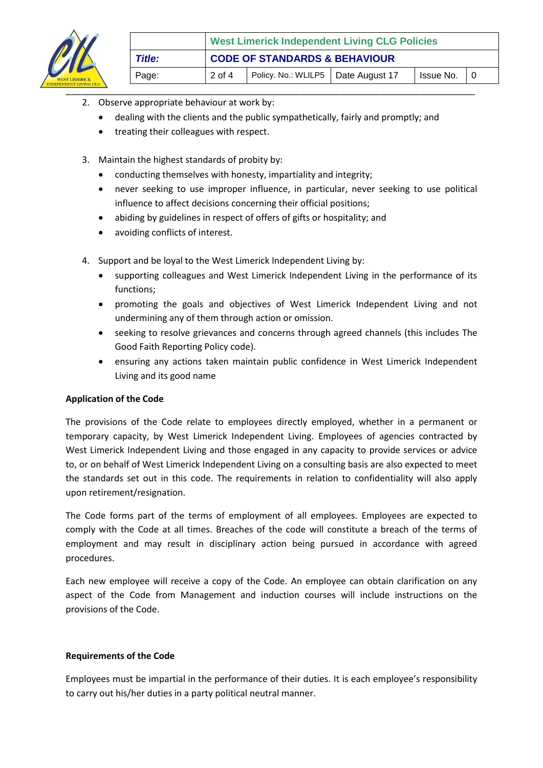

| <b>T LIMERICK</b><br>DENT LIVING CLG. |        | <b>West Limerick Independent Living CLG Policies</b> |                                      |  |           |  |  |
|---------------------------------------|--------|------------------------------------------------------|--------------------------------------|--|-----------|--|--|
|                                       | Title: | <b>CODE OF STANDARDS &amp; BEHAVIOUR</b>             |                                      |  |           |  |  |
|                                       | Page:  | 2 of 4                                               | Policy. No.: WLILP5   Date August 17 |  | Issue No. |  |  |
|                                       |        |                                                      |                                      |  |           |  |  |

- 2. Observe appropriate behaviour at work by:
	- dealing with the clients and the public sympathetically, fairly and promptly; and
	- treating their colleagues with respect.
- 3. Maintain the highest standards of probity by:
	- conducting themselves with honesty, impartiality and integrity;
	- never seeking to use improper influence, in particular, never seeking to use political influence to affect decisions concerning their official positions;
	- abiding by guidelines in respect of offers of gifts or hospitality; and
	- avoiding conflicts of interest.
- 4. Support and be loyal to the West Limerick Independent Living by:
	- supporting colleagues and West Limerick Independent Living in the performance of its functions;
	- promoting the goals and objectives of West Limerick Independent Living and not undermining any of them through action or omission.
	- seeking to resolve grievances and concerns through agreed channels (this includes The Good Faith Reporting Policy code).
	- ensuring any actions taken maintain public confidence in West Limerick Independent Living and its good name

# **Application of the Code**

The provisions of the Code relate to employees directly employed, whether in a permanent or temporary capacity, by West Limerick Independent Living. Employees of agencies contracted by West Limerick Independent Living and those engaged in any capacity to provide services or advice to, or on behalf of West Limerick Independent Living on a consulting basis are also expected to meet the standards set out in this code. The requirements in relation to confidentiality will also apply upon retirement/resignation.

The Code forms part of the terms of employment of all employees. Employees are expected to comply with the Code at all times. Breaches of the code will constitute a breach of the terms of employment and may result in disciplinary action being pursued in accordance with agreed procedures.

Each new employee will receive a copy of the Code. An employee can obtain clarification on any aspect of the Code from Management and induction courses will include instructions on the provisions of the Code.

## **Requirements of the Code**

Employees must be impartial in the performance of their duties. It is each employee's responsibility to carry out his/her duties in a party political neutral manner.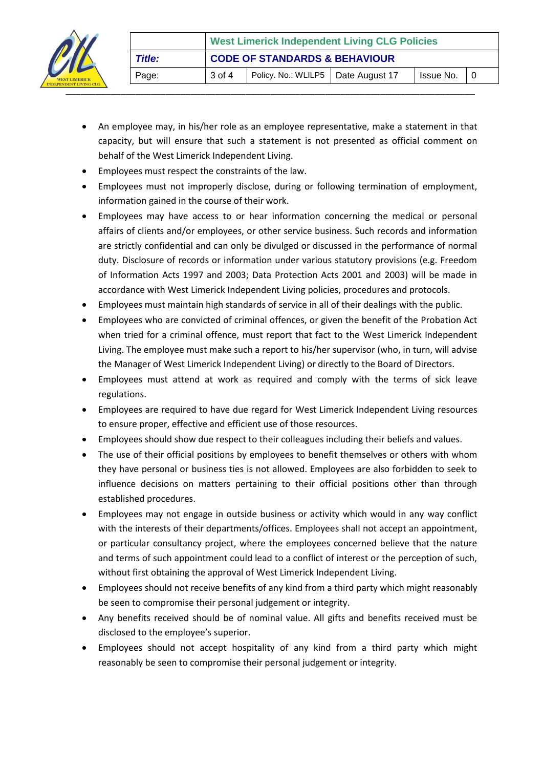

- An employee may, in his/her role as an employee representative, make a statement in that capacity, but will ensure that such a statement is not presented as official comment on behalf of the West Limerick Independent Living.
- Employees must respect the constraints of the law.
- Employees must not improperly disclose, during or following termination of employment, information gained in the course of their work.
- Employees may have access to or hear information concerning the medical or personal affairs of clients and/or employees, or other service business. Such records and information are strictly confidential and can only be divulged or discussed in the performance of normal duty. Disclosure of records or information under various statutory provisions (e.g. Freedom of Information Acts 1997 and 2003; Data Protection Acts 2001 and 2003) will be made in accordance with West Limerick Independent Living policies, procedures and protocols.
- Employees must maintain high standards of service in all of their dealings with the public.
- Employees who are convicted of criminal offences, or given the benefit of the Probation Act when tried for a criminal offence, must report that fact to the West Limerick Independent Living. The employee must make such a report to his/her supervisor (who, in turn, will advise the Manager of West Limerick Independent Living) or directly to the Board of Directors.
- Employees must attend at work as required and comply with the terms of sick leave regulations.
- Employees are required to have due regard for West Limerick Independent Living resources to ensure proper, effective and efficient use of those resources.
- Employees should show due respect to their colleagues including their beliefs and values.
- The use of their official positions by employees to benefit themselves or others with whom they have personal or business ties is not allowed. Employees are also forbidden to seek to influence decisions on matters pertaining to their official positions other than through established procedures.
- Employees may not engage in outside business or activity which would in any way conflict with the interests of their departments/offices. Employees shall not accept an appointment, or particular consultancy project, where the employees concerned believe that the nature and terms of such appointment could lead to a conflict of interest or the perception of such, without first obtaining the approval of West Limerick Independent Living.
- Employees should not receive benefits of any kind from a third party which might reasonably be seen to compromise their personal judgement or integrity.
- Any benefits received should be of nominal value. All gifts and benefits received must be disclosed to the employee's superior.
- Employees should not accept hospitality of any kind from a third party which might reasonably be seen to compromise their personal judgement or integrity.